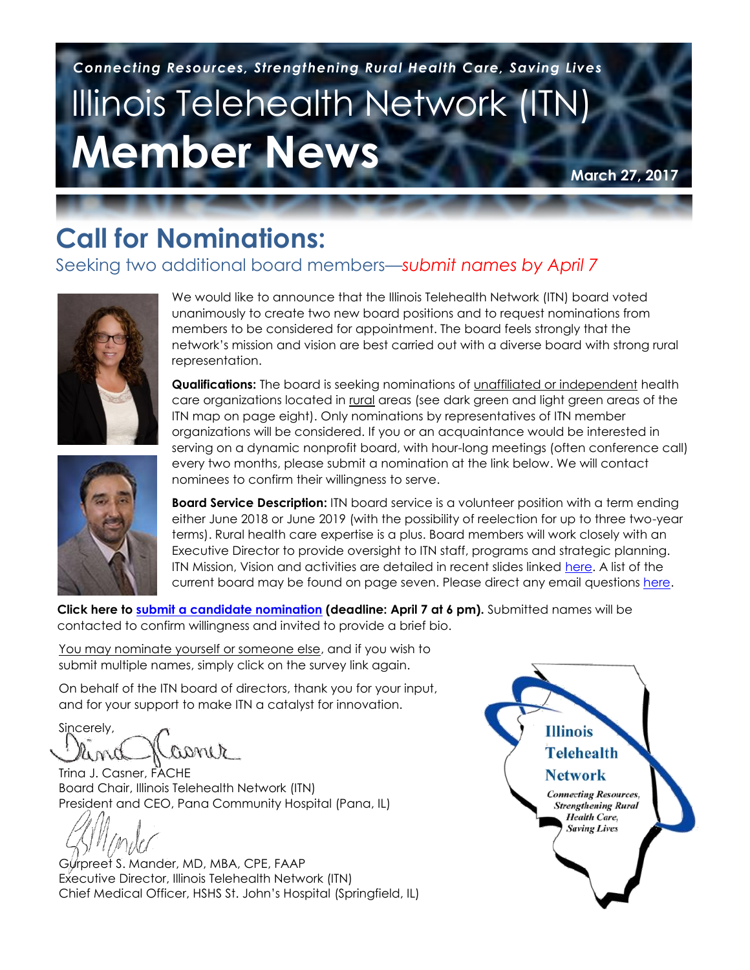# Illinois Telehealth Network (ITN) **Member News**  *Connecting Resources, Strengthening Rural Health Care, Saving Lives*

**March 27, 2017**

# **Call for Nominations:**

### Seeking two additional board members—*submit names by April 7*



We would like to announce that the Illinois Telehealth Network (ITN) board voted unanimously to create two new board positions and to request nominations from members to be considered for appointment. The board feels strongly that the network's mission and vision are best carried out with a diverse board with strong rural representation.

**Qualifications:** The board is seeking nominations of unaffiliated or independent health care organizations located in rural areas (see dark green and light green areas of the ITN map on page eight). Only nominations by representatives of ITN member organizations will be considered. If you or an acquaintance would be interested in serving on a dynamic nonprofit board, with hour-long meetings (often conference call) every two months, please submit a nomination at the link below. We will contact nominees to confirm their willingness to serve.

**Board Service Description:** ITN board service is a volunteer position with a term ending either June 2018 or June 2019 (with the possibility of reelection for up to three two-year terms). Rural health care expertise is a plus. Board members will work closely with an Executive Director to provide oversight to ITN staff, programs and strategic planning. ITN Mission, Vision and activities are detailed in recent slides linked [here.](https://www.dropbox.com/s/duw8g3bv55fhpn0/ICAHN%20Trailblazer%20ITN%20Slides%202-28-17%20(final).pdf?dl=0) A list of the current board may be found on page seven. Please direct any email questions [here.](mailto:David.Mortimer@HSHS.org)

**Click here to [submit a candidate nomination](http://www.surveymonkey.com/r/SZBZW7J) (deadline: April 7 at 6 pm).** Submitted names will be contacted to confirm willingness and invited to provide a brief bio.

You may nominate yourself or someone else, and if you wish to submit multiple names, simply click on the survey link again.

and for your support to make ITN a catalyst for innovation. underserved rural areas with provider shortages. On behalf of the ITN board of directors, thank you for your input,

Sincerely, asmer

Trina J. Casner, FACHE Board Chair, Illinois Telehealth Network (ITN) President and CEO, Pana Community Hospital (Pana, IL)

Gurpreet S. Mander, MD, MBA, CPE, FAAP Executive Director, Illinois Telehealth Network (ITN) Chief Medical Officer, HSHS St. John's Hospital (Springfield, IL)

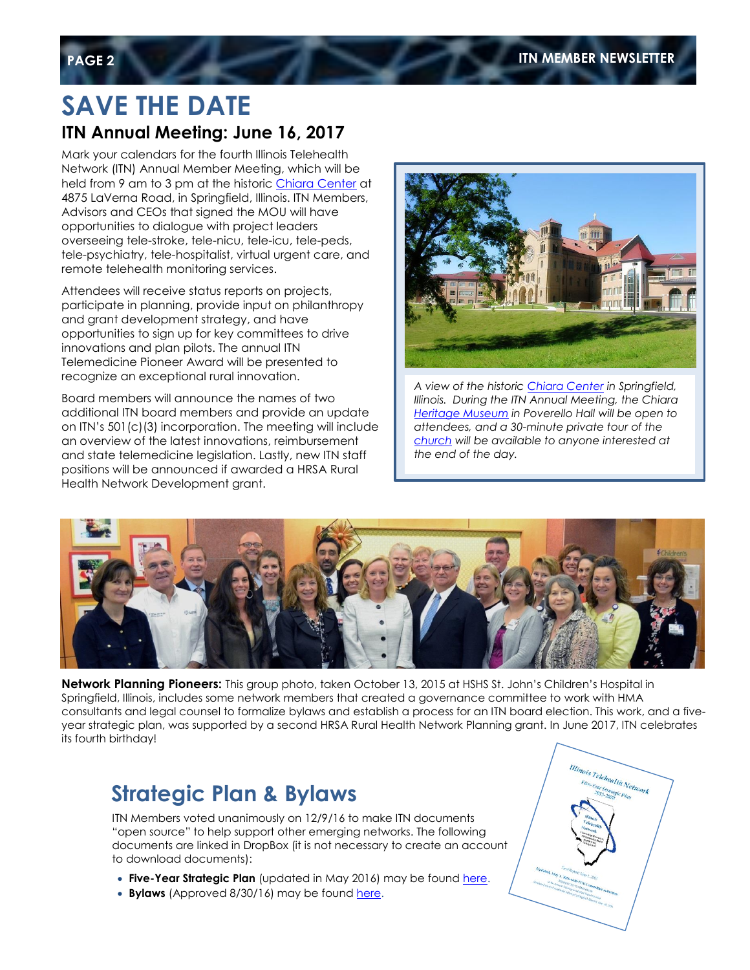# **SAVE THE DATE**

### **ITN Annual Meeting: June 16, 2017**

Mark your calendars for the fourth Illinois Telehealth Network (ITN) Annual Member Meeting, which will be held from 9 am to 3 pm at the historic [Chiara Center](http://www.chiaracenter.org/index.cfm?pID=3523) at 4875 LaVerna Road, in Springfield, Illinois. ITN Members, Advisors and CEOs that signed the MOU will have opportunities to dialogue with project leaders overseeing tele-stroke, tele-nicu, tele-icu, tele-peds, tele-psychiatry, tele-hospitalist, virtual urgent care, and remote telehealth monitoring services.

Attendees will receive status reports on projects, participate in planning, provide input on philanthropy and grant development strategy, and have opportunities to sign up for key committees to drive innovations and plan pilots. The annual ITN Telemedicine Pioneer Award will be presented to recognize an exceptional rural innovation.

Board members will announce the names of two additional ITN board members and provide an update on ITN's 501(c)(3) incorporation. The meeting will include an overview of the latest innovations, reimbursement and state telemedicine legislation. Lastly, new ITN staff positions will be announced if awarded a HRSA Rural Health Network Development grant.



*A view of the histori[c Chiara Center](http://www.chiaracenter.org/index.cfm?pID=3523) in Springfield, Illinois. During the ITN Annual Meeting, the Chiara [Heritage Museum](http://hospitalsisters.org/index.cfm?pID=3645) in Poverello Hall will be open to attendees, and a 30-minute private tour of the [church](http://www.chiaracenter.org/index.cfm?pID=3525) will be available to anyone interested at the end of the day.*



**Network Planning Pioneers:** This group photo, taken October 13, 2015 at HSHS St. John's Children's Hospital in Springfield, Illinois, includes some network members that created a governance committee to work with HMA consultants and legal counsel to formalize bylaws and establish a process for an ITN board election. This work, and a fiveyear strategic plan, was supported by a second HRSA Rural Health Network Planning grant. In June 2017, ITN celebrates its fourth birthday!

### **Strategic Plan & Bylaws**

ITN Members voted unanimously on 12/9/16 to make ITN documents "open source" to help support other emerging networks. The following documents are linked in DropBox (it is not necessary to create an account to download documents):

- **Five-Year Strategic Plan** (updated in May 2016) may be found [here.](https://www.dropbox.com/s/lyln64v1zdnx4z0/ITN%20Strategic%20Plan%20%2805-01-2016%29.pdf?dl=0)
- **Bylaws** (Approved 8/30/16) may be found [here.](https://www.dropbox.com/s/o3y851pwxvo23nq/ITN%20Bylaws%20DropBox.pdf?dl=0)

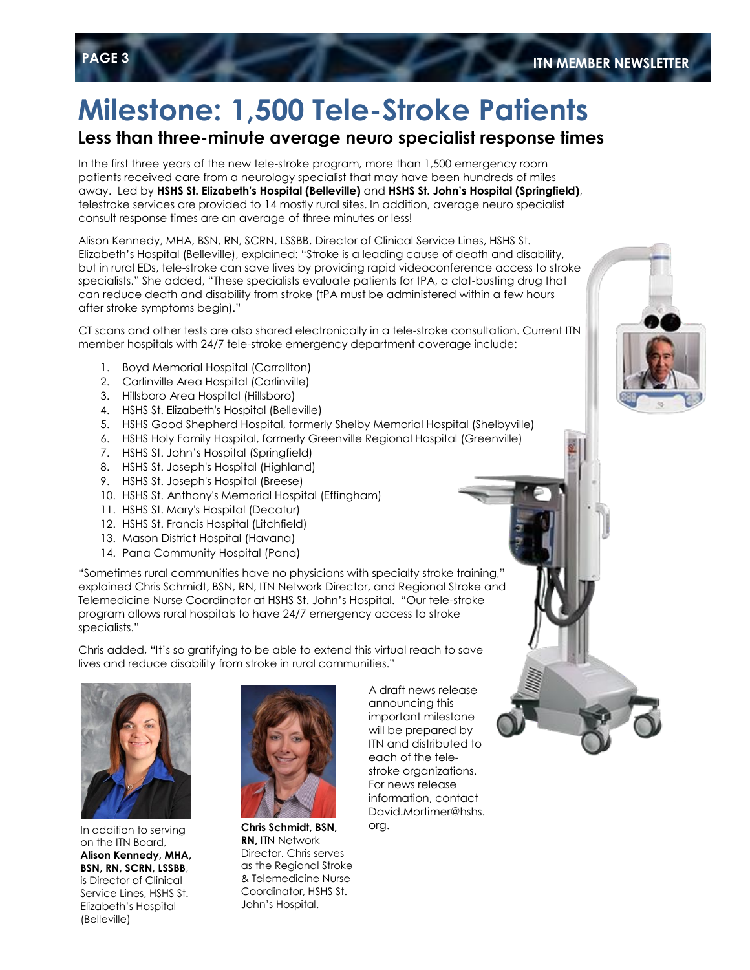# **Milestone: 1,500 Tele-Stroke Patients**

### **Less than three-minute average neuro specialist response times**

In the first three years of the new tele-stroke program, more than 1,500 emergency room patients received care from a neurology specialist that may have been hundreds of miles away. Led by **HSHS St. Elizabeth's Hospital (Belleville)** and **HSHS St. John's Hospital (Springfield)**, telestroke services are provided to 14 mostly rural sites. In addition, average neuro specialist consult response times are an average of three minutes or less!

Alison Kennedy, MHA, BSN, RN, SCRN, LSSBB, Director of Clinical Service Lines, HSHS St. Elizabeth's Hospital (Belleville), explained: "Stroke is a leading cause of death and disability, but in rural EDs, tele-stroke can save lives by providing rapid videoconference access to stroke specialists." She added, "These specialists evaluate patients for tPA, a clot-busting drug that can reduce death and disability from stroke (tPA must be administered within a few hours after stroke symptoms begin)."

CT scans and other tests are also shared electronically in a tele-stroke consultation. Current ITN member hospitals with 24/7 tele-stroke emergency department coverage include:

- 1. Boyd Memorial Hospital (Carrollton)
- 2. Carlinville Area Hospital (Carlinville)
- 3. Hillsboro Area Hospital (Hillsboro)
- 4. HSHS St. Elizabeth's Hospital (Belleville)
- 5. HSHS Good Shepherd Hospital, formerly Shelby Memorial Hospital (Shelbyville)
- 6. HSHS Holy Family Hospital, formerly Greenville Regional Hospital (Greenville)
- 7. HSHS St. John's Hospital (Springfield)
- 8. HSHS St. Joseph's Hospital (Highland)
- 9. HSHS St. Joseph's Hospital (Breese)
- 10. HSHS St. Anthony's Memorial Hospital (Effingham)
- 11. HSHS St. Mary's Hospital (Decatur)
- 12. HSHS St. Francis Hospital (Litchfield)
- 13. Mason District Hospital (Havana)
- 14. Pana Community Hospital (Pana)

"Sometimes rural communities have no physicians with specialty stroke training," explained Chris Schmidt, BSN, RN, ITN Network Director, and Regional Stroke and Telemedicine Nurse Coordinator at HSHS St. John's Hospital. "Our tele-stroke program allows rural hospitals to have 24/7 emergency access to stroke specialists."

Chris added, "It's so gratifying to be able to extend this virtual reach to save lives and reduce disability from stroke in rural communities."



In addition to serving on the ITN Board, **Alison Kennedy, MHA, BSN, RN, SCRN, LSSBB**, is Director of Clinical Service Lines, HSHS St. Elizabeth's Hospital (Belleville)



**Chris Schmidt, BSN, RN,** ITN Network Director. Chris serves as the Regional Stroke & Telemedicine Nurse Coordinator, HSHS St. John's Hospital.

A draft news release announcing this important milestone will be prepared by ITN and distributed to each of the telestroke organizations. For news release information, contact David.Mortimer@hshs. org.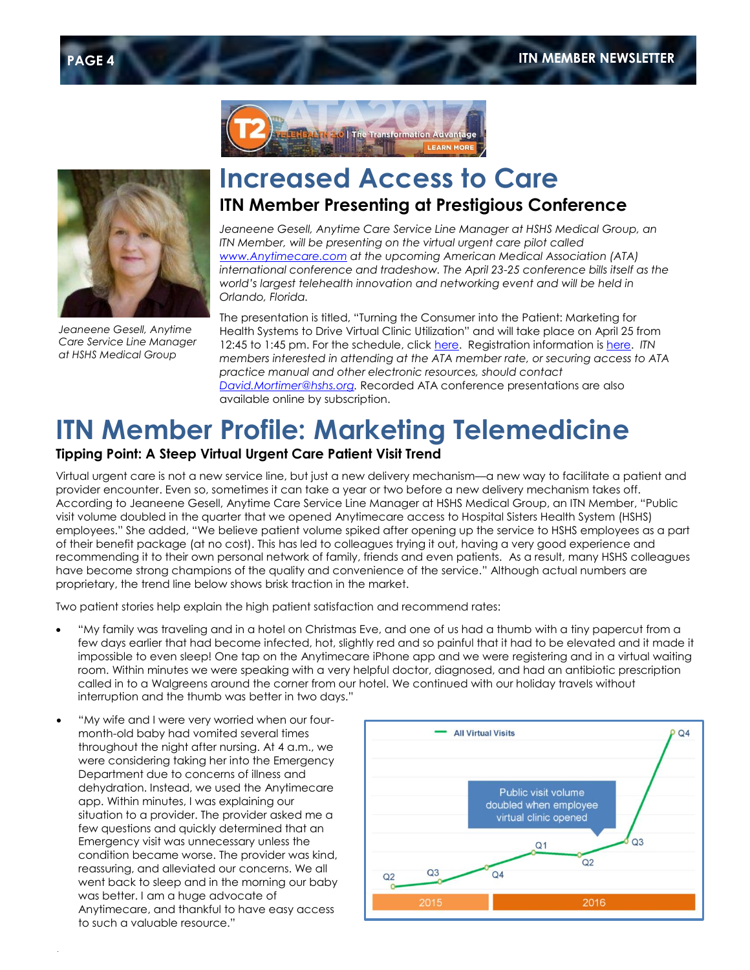



*Jeaneene Gesell, Anytime Care Service Line Manager at HSHS Medical Group*

### **Increased Access to Care ITN Member Presenting at Prestigious Conference**

*Jeaneene Gesell, Anytime Care Service Line Manager at HSHS Medical Group, an ITN Member, will be presenting on the virtual urgent care pilot called [www.Anytimecare.com](http://www.anytimecare.com/) at the upcoming American Medical Association (ATA) international conference and tradeshow. The April 23-25 conference bills itself as the world's largest telehealth innovation and networking event and will be held in Orlando, Florida.*

The presentation is titled, "Turning the Consumer into the Patient: Marketing for Health Systems to Drive Virtual Clinic Utilization" and will take place on April 25 from 12:45 to 1:45 pm. For the schedule, clic[k here.](https://www.eventscribe.com/2017/ATA/agenda.asp?h=Full%20Schedule&BCFO=A|GP|MG|O|P|PF|PL|S|SP|W|X|CC|ES|NP) Registration information is [here.](http://www.ata2017.org/home/registration/) *ITN members interested in attending at the ATA member rate, or securing access to ATA practice manual and other electronic resources, should contact [David.Mortimer@hshs.org.](mailto:David.Mortimer@hshs.org)* Recorded ATA conference presentations are also available online by subscription.

# **ITN Member Profile: Marketing Telemedicine**

#### **Tipping Point: A Steep Virtual Urgent Care Patient Visit Trend**

Virtual urgent care is not a new service line, but just a new delivery mechanism—a new way to facilitate a patient and provider encounter. Even so, sometimes it can take a year or two before a new delivery mechanism takes off. According to Jeaneene Gesell, Anytime Care Service Line Manager at HSHS Medical Group, an ITN Member, "Public visit volume doubled in the quarter that we opened Anytimecare access to Hospital Sisters Health System (HSHS) employees." She added, "We believe patient volume spiked after opening up the service to HSHS employees as a part of their benefit package (at no cost). This has led to colleagues trying it out, having a very good experience and recommending it to their own personal network of family, friends and even patients. As a result, many HSHS colleagues have become strong champions of the quality and convenience of the service." Although actual numbers are proprietary, the trend line below shows brisk traction in the market.

Two patient stories help explain the high patient satisfaction and recommend rates:

- "My family was traveling and in a hotel on Christmas Eve, and one of us had a thumb with a tiny papercut from a few days earlier that had become infected, hot, slightly red and so painful that it had to be elevated and it made it impossible to even sleep! One tap on the Anytimecare iPhone app and we were registering and in a virtual waiting room. Within minutes we were speaking with a very helpful doctor, diagnosed, and had an antibiotic prescription called in to a Walgreens around the corner from our hotel. We continued with our holiday travels without interruption and the thumb was better in two days."
- "My wife and I were very worried when our fourmonth-old baby had vomited several times throughout the night after nursing. At 4 a.m., we were considering taking her into the Emergency Department due to concerns of illness and dehydration. Instead, we used the Anytimecare app. Within minutes, I was explaining our situation to a provider. The provider asked me a few questions and quickly determined that an Emergency visit was unnecessary unless the condition became worse. The provider was kind, reassuring, and alleviated our concerns. We all went back to sleep and in the morning our baby was better. I am a huge advocate of Anytimecare, and thankful to have easy access to such a valuable resource."

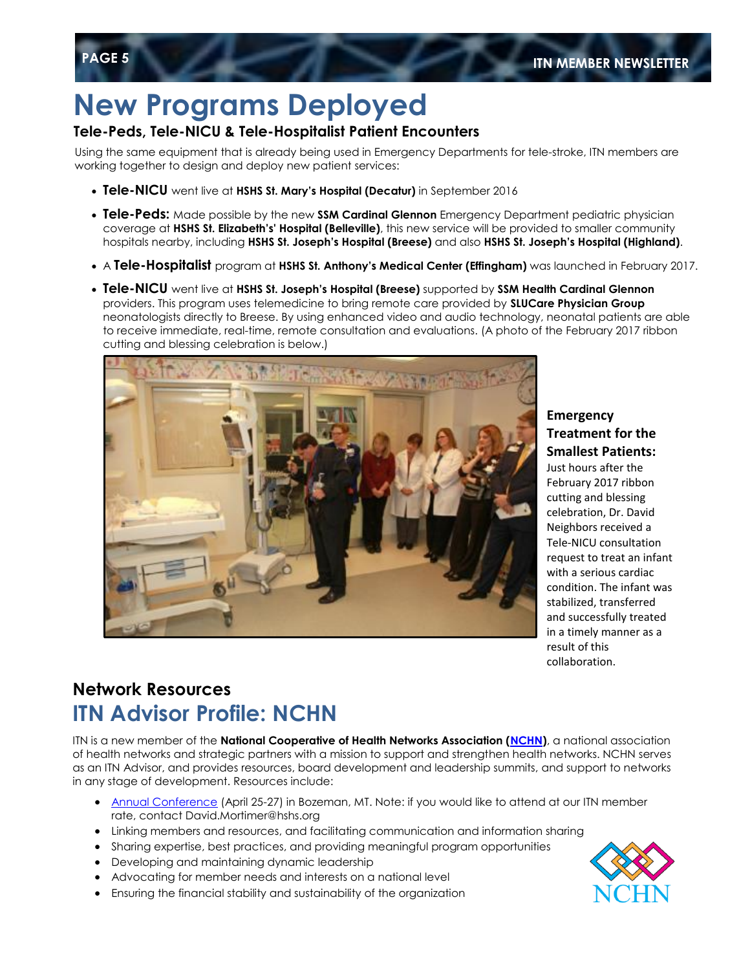# **New Programs Deployed**

#### **Tele-Peds, Tele-NICU & Tele-Hospitalist Patient Encounters**

Using the same equipment that is already being used in Emergency Departments for tele-stroke, ITN members are working together to design and deploy new patient services:

- **Tele-NICU** went live at **HSHS St. Mary's Hospital (Decatur)** in September 2016
- **Tele-Peds:** Made possible by the new **SSM Cardinal Glennon** Emergency Department pediatric physician coverage at **HSHS St. Elizabeth's' Hospital (Belleville)**, this new service will be provided to smaller community hospitals nearby, including **HSHS St. Joseph's Hospital (Breese)** and also **HSHS St. Joseph's Hospital (Highland)**.
- A **Tele-Hospitalist** program at **HSHS St. Anthony's Medical Center (Effingham)** was launched in February 2017.
- **Tele-NICU** went live at **HSHS St. Joseph's Hospital (Breese)** supported by **SSM Health Cardinal Glennon** providers. This program uses telemedicine to bring remote care provided by **SLUCare Physician Group** neonatologists directly to Breese. By using enhanced video and audio technology, neonatal patients are able to receive immediate, real-time, remote consultation and evaluations. (A photo of the February 2017 ribbon cutting and blessing celebration is below.)



#### **Emergency Treatment for the Smallest Patients:**

Just hours after the February 2017 ribbon cutting and blessing celebration, Dr. David Neighbors received a Tele-NICU consultation request to treat an infant with a serious cardiac condition. The infant was stabilized, transferred and successfully treated in a timely manner as a result of this collaboration.

### **Network Resources ITN Advisor Profile: NCHN**

ITN is a new member of the **National Cooperative of Health Networks Association [\(NCHN\)](http://www.nchn.org/about-nchn/mission-vision.html)**, a national association of health networks and strategic partners with a mission to support and strengthen health networks. NCHN serves as an ITN Advisor, and provides resources, board development and leadership summits, and support to networks in any stage of development. Resources include:

- [Annual Conference](http://2017conference.nchn.org/) (April 25-27) in Bozeman, MT. Note: if you would like to attend at our ITN member rate, contact David.Mortimer@hshs.org
- Linking members and resources, and facilitating communication and information sharing
- Sharing expertise, best practices, and providing meaningful program opportunities
- Developing and maintaining dynamic leadership
- Advocating for member needs and interests on a national level
- Ensuring the financial stability and sustainability of the organization

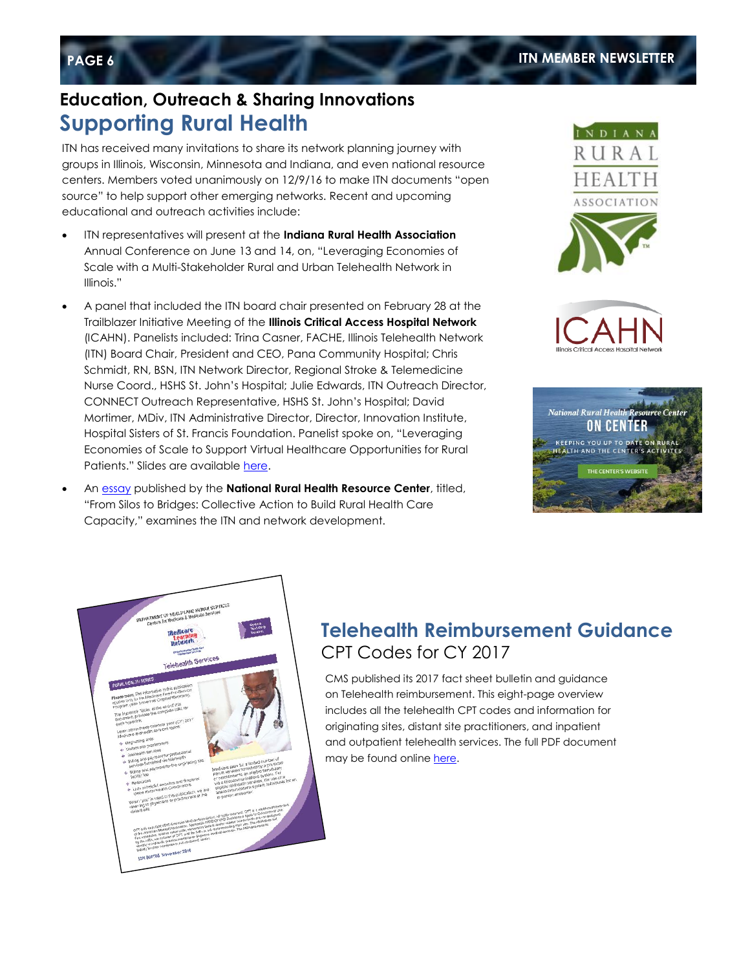### **Education, Outreach & Sharing Innovations Supporting Rural Health**

ITN has received many invitations to share its network planning journey with groups in Illinois, Wisconsin, Minnesota and Indiana, and even national resource centers. Members voted unanimously on 12/9/16 to make ITN documents "open source" to help support other emerging networks. Recent and upcoming educational and outreach activities include:

- ITN representatives will present at the **Indiana Rural Health Association** Annual Conference on June 13 and 14, on, "Leveraging Economies of Scale with a Multi-Stakeholder Rural and Urban Telehealth Network in Illinois."
- A panel that included the ITN board chair presented on February 28 at the Trailblazer Initiative Meeting of the **Illinois Critical Access Hospital Network** (ICAHN). Panelists included: Trina Casner, FACHE, Illinois Telehealth Network (ITN) Board Chair, President and CEO, Pana Community Hospital; Chris Schmidt, RN, BSN, ITN Network Director, Regional Stroke & Telemedicine Nurse Coord., HSHS St. John's Hospital; Julie Edwards, ITN Outreach Director, CONNECT Outreach Representative, HSHS St. John's Hospital; David Mortimer, MDiv, ITN Administrative Director, Director, Innovation Institute, Hospital Sisters of St. Francis Foundation. Panelist spoke on, "Leveraging Economies of Scale to Support Virtual Healthcare Opportunities for Rural Patients." Slides are available [here.](https://www.dropbox.com/s/duw8g3bv55fhpn0/ICAHN%20Trailblazer%20ITN%20Slides%202-28-17%20%28final%29.pdf?dl=0)
- An [essay](http://oncenterblog.weebly.com/on-center-blog/from-silos-to-bridges-collective-action-to-build-rural-health-care-capacity) published by the **National Rural Health Resource Center**, titled, "From Silos to Bridges: Collective Action to Build Rural Health Care Capacity," examines the ITN and network development.









### **Telehealth Reimbursement Guidance** CPT Codes for CY 2017

CMS published its 2017 fact sheet bulletin and guidance on Telehealth reimbursement. This eight-page overview includes all the telehealth CPT codes and information for originating sites, distant site practitioners, and inpatient and outpatient telehealth services. The full PDF document may be found online [here.](https://www.cms.gov/Outreach-and-Education/Medicare-Learning-Network-MLN/MLNProducts/downloads/TelehealthSrvcsfctsht.pdf)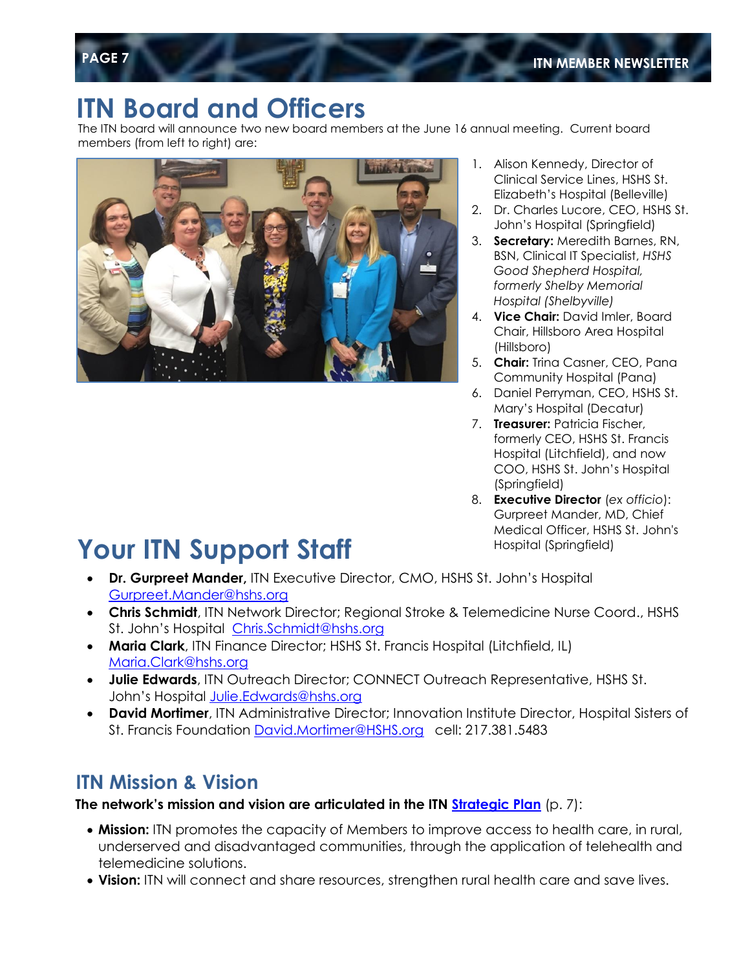# **ITN Board and Officers**

The ITN board will announce two new board members at the June 16 annual meeting. Current board members (from left to right) are:



- 1. Alison Kennedy, Director of Clinical Service Lines, HSHS St. Elizabeth's Hospital (Belleville)
- 2. Dr. Charles Lucore, CEO, HSHS St. John's Hospital (Springfield)
- 3. **Secretary:** Meredith Barnes, RN, BSN, Clinical IT Specialist, *HSHS Good Shepherd Hospital, formerly Shelby Memorial Hospital (Shelbyville)*
- 4. **Vice Chair:** David Imler, Board Chair, Hillsboro Area Hospital (Hillsboro)
- 5. **Chair:** Trina Casner, CEO, Pana Community Hospital (Pana)
- 6. Daniel Perryman, CEO, HSHS St. Mary's Hospital (Decatur)
- 7. **Treasurer:** Patricia Fischer, formerly CEO, HSHS St. Francis Hospital (Litchfield), and now COO, HSHS St. John's Hospital (Springfield)
- 8. **Executive Director** (*ex officio*): Gurpreet Mander, MD, Chief Medical Officer, HSHS St. John's Hospital (Springfield)

# **Your ITN Support Staff**

- **Dr. Gurpreet Mander,** ITN Executive Director, CMO, HSHS St. John's Hospital [Gurpreet.Mander@hshs.org](mailto:Gurpreet.Mander@hshs.org)
- **Chris Schmidt**, ITN Network Director; Regional Stroke & Telemedicine Nurse Coord., HSHS St. John's Hospital [Chris.Schmidt@hshs.org](mailto:Chris.Schmidt@hshs.org)
- **Maria Clark**, ITN Finance Director; HSHS St. Francis Hospital (Litchfield, IL) [Maria.Clark@hshs.org](mailto:Maria.Clark@hshs.org)
- **Julie Edwards**, ITN Outreach Director; CONNECT Outreach Representative, HSHS St. John's Hospital [Julie.Edwards@hshs.org](mailto:Julie.Edwards@hshs.org)
- **David Mortimer**, ITN Administrative Director; Innovation Institute Director, Hospital Sisters of St. Francis Foundation [David.Mortimer@HSHS.org](mailto:David.Mortimer@HSHS.org) cell: 217.381.5483

### **ITN Mission & Vision**

#### **The network's mission and vision are articulated in the ITN [Strategic Plan](https://www.dropbox.com/s/lyln64v1zdnx4z0/ITN%20Strategic%20Plan%20%2805-01-2016%29.pdf?dl=0)** (p. 7):

- **Mission:** ITN promotes the capacity of Members to improve access to health care, in rural, underserved and disadvantaged communities, through the application of telehealth and telemedicine solutions.
- **Vision:** ITN will connect and share resources, strengthen rural health care and save lives.